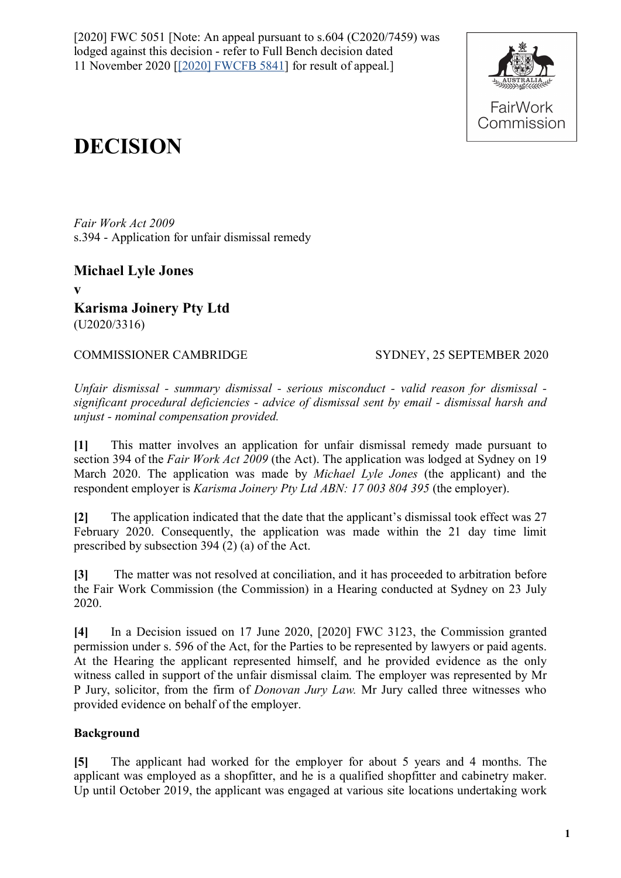[2020] FWC 5051 [Note: An appeal pursuant to  $s.604$  (C2020/7459) was lodged against this decision - refer to Full Bench decision dated 11 November 2020 [\[\[2020\] FWCFB 5841\]](https://www.fwc.gov.au/documents/decisionssigned/html/2020fwcfb5841.htm) for result of appeal.]



# **DECISION**

*Fair Work Act 2009*  s.394 - Application for unfair dismissal remedy

**Michael Lyle Jones v Karisma Joinery Pty Ltd** (U2020/3316)

COMMISSIONER CAMBRIDGE SYDNEY, 25 SEPTEMBER 2020

*Unfair dismissal - summary dismissal - serious misconduct - valid reason for dismissal significant procedural deficiencies - advice of dismissal sent by email - dismissal harsh and unjust - nominal compensation provided.*

**[1]** This matter involves an application for unfair dismissal remedy made pursuant to section 394 of the *Fair Work Act 2009* (the Act). The application was lodged at Sydney on 19 March 2020. The application was made by *Michael Lyle Jones* (the applicant) and the respondent employer is *Karisma Joinery Pty Ltd ABN: 17 003 804 395* (the employer).

**[2]** The application indicated that the date that the applicant's dismissal took effect was 27 February 2020. Consequently, the application was made within the 21 day time limit prescribed by subsection 394 (2) (a) of the Act.

**[3]** The matter was not resolved at conciliation, and it has proceeded to arbitration before the Fair Work Commission (the Commission) in a Hearing conducted at Sydney on 23 July 2020.

**[4]** In a Decision issued on 17 June 2020, [2020] FWC 3123, the Commission granted permission under s. 596 of the Act, for the Parties to be represented by lawyers or paid agents. At the Hearing the applicant represented himself, and he provided evidence as the only witness called in support of the unfair dismissal claim. The employer was represented by Mr P Jury, solicitor, from the firm of *Donovan Jury Law.* Mr Jury called three witnesses who provided evidence on behalf of the employer.

# **Background**

**[5]** The applicant had worked for the employer for about 5 years and 4 months. The applicant was employed as a shopfitter, and he is a qualified shopfitter and cabinetry maker. Up until October 2019, the applicant was engaged at various site locations undertaking work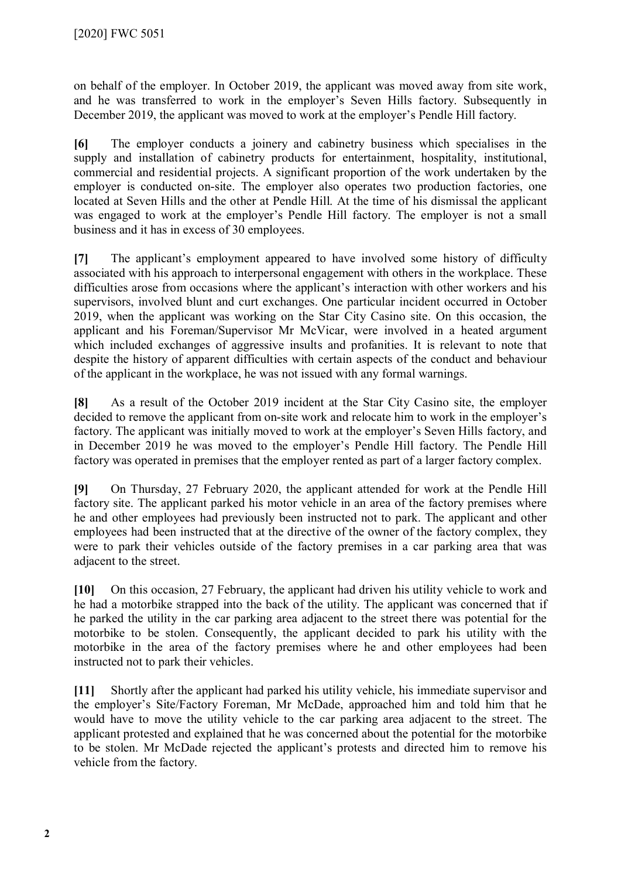on behalf of the employer. In October 2019, the applicant was moved away from site work, and he was transferred to work in the employer's Seven Hills factory. Subsequently in December 2019, the applicant was moved to work at the employer's Pendle Hill factory.

**[6]** The employer conducts a joinery and cabinetry business which specialises in the supply and installation of cabinetry products for entertainment, hospitality, institutional, commercial and residential projects. A significant proportion of the work undertaken by the employer is conducted on-site. The employer also operates two production factories, one located at Seven Hills and the other at Pendle Hill. At the time of his dismissal the applicant was engaged to work at the employer's Pendle Hill factory. The employer is not a small business and it has in excess of 30 employees.

**[7]** The applicant's employment appeared to have involved some history of difficulty associated with his approach to interpersonal engagement with others in the workplace. These difficulties arose from occasions where the applicant's interaction with other workers and his supervisors, involved blunt and curt exchanges. One particular incident occurred in October 2019, when the applicant was working on the Star City Casino site. On this occasion, the applicant and his Foreman/Supervisor Mr McVicar, were involved in a heated argument which included exchanges of aggressive insults and profanities. It is relevant to note that despite the history of apparent difficulties with certain aspects of the conduct and behaviour of the applicant in the workplace, he was not issued with any formal warnings.

**[8]** As a result of the October 2019 incident at the Star City Casino site, the employer decided to remove the applicant from on-site work and relocate him to work in the employer's factory. The applicant was initially moved to work at the employer's Seven Hills factory, and in December 2019 he was moved to the employer's Pendle Hill factory. The Pendle Hill factory was operated in premises that the employer rented as part of a larger factory complex.

**[9]** On Thursday, 27 February 2020, the applicant attended for work at the Pendle Hill factory site. The applicant parked his motor vehicle in an area of the factory premises where he and other employees had previously been instructed not to park. The applicant and other employees had been instructed that at the directive of the owner of the factory complex, they were to park their vehicles outside of the factory premises in a car parking area that was adjacent to the street.

**[10]** On this occasion, 27 February, the applicant had driven his utility vehicle to work and he had a motorbike strapped into the back of the utility. The applicant was concerned that if he parked the utility in the car parking area adjacent to the street there was potential for the motorbike to be stolen. Consequently, the applicant decided to park his utility with the motorbike in the area of the factory premises where he and other employees had been instructed not to park their vehicles.

**[11]** Shortly after the applicant had parked his utility vehicle, his immediate supervisor and the employer's Site/Factory Foreman, Mr McDade, approached him and told him that he would have to move the utility vehicle to the car parking area adjacent to the street. The applicant protested and explained that he was concerned about the potential for the motorbike to be stolen. Mr McDade rejected the applicant's protests and directed him to remove his vehicle from the factory.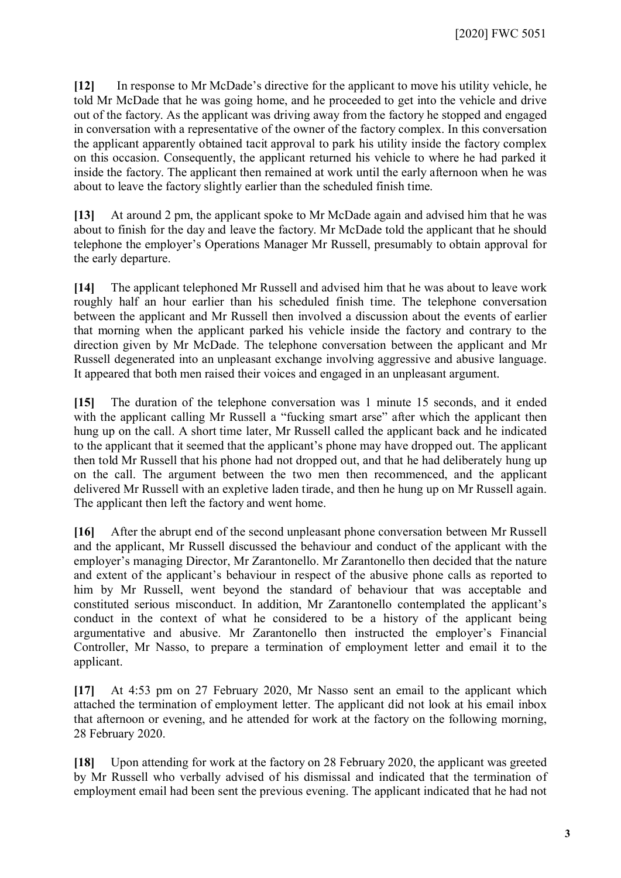**[12]** In response to Mr McDade's directive for the applicant to move his utility vehicle, he told Mr McDade that he was going home, and he proceeded to get into the vehicle and drive out of the factory. As the applicant was driving away from the factory he stopped and engaged in conversation with a representative of the owner of the factory complex. In this conversation the applicant apparently obtained tacit approval to park his utility inside the factory complex on this occasion. Consequently, the applicant returned his vehicle to where he had parked it inside the factory. The applicant then remained at work until the early afternoon when he was about to leave the factory slightly earlier than the scheduled finish time.

**[13]** At around 2 pm, the applicant spoke to Mr McDade again and advised him that he was about to finish for the day and leave the factory. Mr McDade told the applicant that he should telephone the employer's Operations Manager Mr Russell, presumably to obtain approval for the early departure.

**[14]** The applicant telephoned Mr Russell and advised him that he was about to leave work roughly half an hour earlier than his scheduled finish time. The telephone conversation between the applicant and Mr Russell then involved a discussion about the events of earlier that morning when the applicant parked his vehicle inside the factory and contrary to the direction given by Mr McDade. The telephone conversation between the applicant and Mr Russell degenerated into an unpleasant exchange involving aggressive and abusive language. It appeared that both men raised their voices and engaged in an unpleasant argument.

**[15]** The duration of the telephone conversation was 1 minute 15 seconds, and it ended with the applicant calling Mr Russell a "fucking smart arse" after which the applicant then hung up on the call. A short time later, Mr Russell called the applicant back and he indicated to the applicant that it seemed that the applicant's phone may have dropped out. The applicant then told Mr Russell that his phone had not dropped out, and that he had deliberately hung up on the call. The argument between the two men then recommenced, and the applicant delivered Mr Russell with an expletive laden tirade, and then he hung up on Mr Russell again. The applicant then left the factory and went home.

**[16]** After the abrupt end of the second unpleasant phone conversation between Mr Russell and the applicant, Mr Russell discussed the behaviour and conduct of the applicant with the employer's managing Director, Mr Zarantonello. Mr Zarantonello then decided that the nature and extent of the applicant's behaviour in respect of the abusive phone calls as reported to him by Mr Russell, went beyond the standard of behaviour that was acceptable and constituted serious misconduct. In addition, Mr Zarantonello contemplated the applicant's conduct in the context of what he considered to be a history of the applicant being argumentative and abusive. Mr Zarantonello then instructed the employer's Financial Controller, Mr Nasso, to prepare a termination of employment letter and email it to the applicant.

**[17]** At 4:53 pm on 27 February 2020, Mr Nasso sent an email to the applicant which attached the termination of employment letter. The applicant did not look at his email inbox that afternoon or evening, and he attended for work at the factory on the following morning, 28 February 2020.

**[18]** Upon attending for work at the factory on 28 February 2020, the applicant was greeted by Mr Russell who verbally advised of his dismissal and indicated that the termination of employment email had been sent the previous evening. The applicant indicated that he had not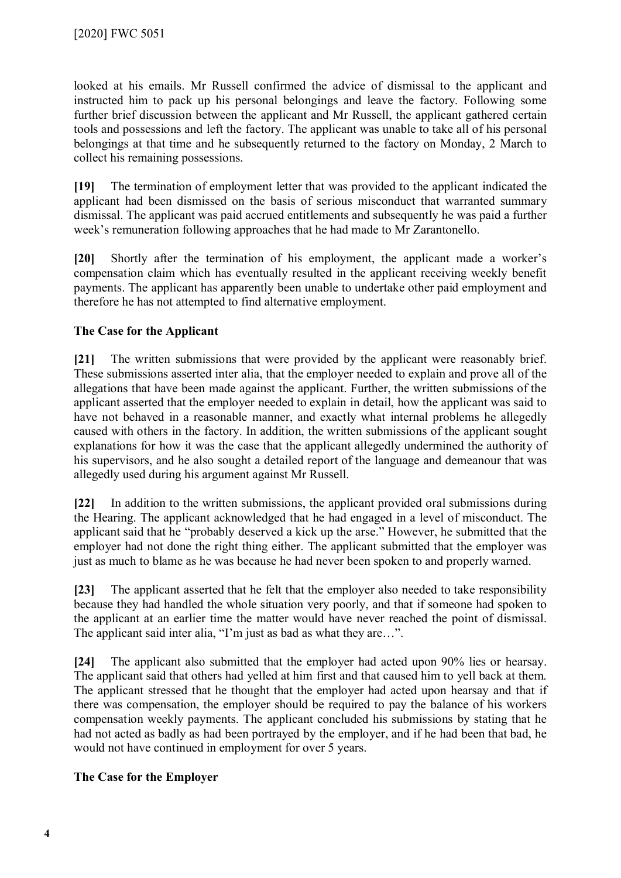looked at his emails. Mr Russell confirmed the advice of dismissal to the applicant and instructed him to pack up his personal belongings and leave the factory. Following some further brief discussion between the applicant and Mr Russell, the applicant gathered certain tools and possessions and left the factory. The applicant was unable to take all of his personal belongings at that time and he subsequently returned to the factory on Monday, 2 March to collect his remaining possessions.

**[19]** The termination of employment letter that was provided to the applicant indicated the applicant had been dismissed on the basis of serious misconduct that warranted summary dismissal. The applicant was paid accrued entitlements and subsequently he was paid a further week's remuneration following approaches that he had made to Mr Zarantonello.

**[20]** Shortly after the termination of his employment, the applicant made a worker's compensation claim which has eventually resulted in the applicant receiving weekly benefit payments. The applicant has apparently been unable to undertake other paid employment and therefore he has not attempted to find alternative employment.

#### **The Case for the Applicant**

**[21]** The written submissions that were provided by the applicant were reasonably brief. These submissions asserted inter alia, that the employer needed to explain and prove all of the allegations that have been made against the applicant. Further, the written submissions of the applicant asserted that the employer needed to explain in detail, how the applicant was said to have not behaved in a reasonable manner, and exactly what internal problems he allegedly caused with others in the factory. In addition, the written submissions of the applicant sought explanations for how it was the case that the applicant allegedly undermined the authority of his supervisors, and he also sought a detailed report of the language and demeanour that was allegedly used during his argument against Mr Russell.

**[22]** In addition to the written submissions, the applicant provided oral submissions during the Hearing. The applicant acknowledged that he had engaged in a level of misconduct. The applicant said that he "probably deserved a kick up the arse." However, he submitted that the employer had not done the right thing either. The applicant submitted that the employer was just as much to blame as he was because he had never been spoken to and properly warned.

**[23]** The applicant asserted that he felt that the employer also needed to take responsibility because they had handled the whole situation very poorly, and that if someone had spoken to the applicant at an earlier time the matter would have never reached the point of dismissal. The applicant said inter alia, "I'm just as bad as what they are...".

**[24]** The applicant also submitted that the employer had acted upon 90% lies or hearsay. The applicant said that others had yelled at him first and that caused him to yell back at them. The applicant stressed that he thought that the employer had acted upon hearsay and that if there was compensation, the employer should be required to pay the balance of his workers compensation weekly payments. The applicant concluded his submissions by stating that he had not acted as badly as had been portrayed by the employer, and if he had been that bad, he would not have continued in employment for over 5 years.

#### **The Case for the Employer**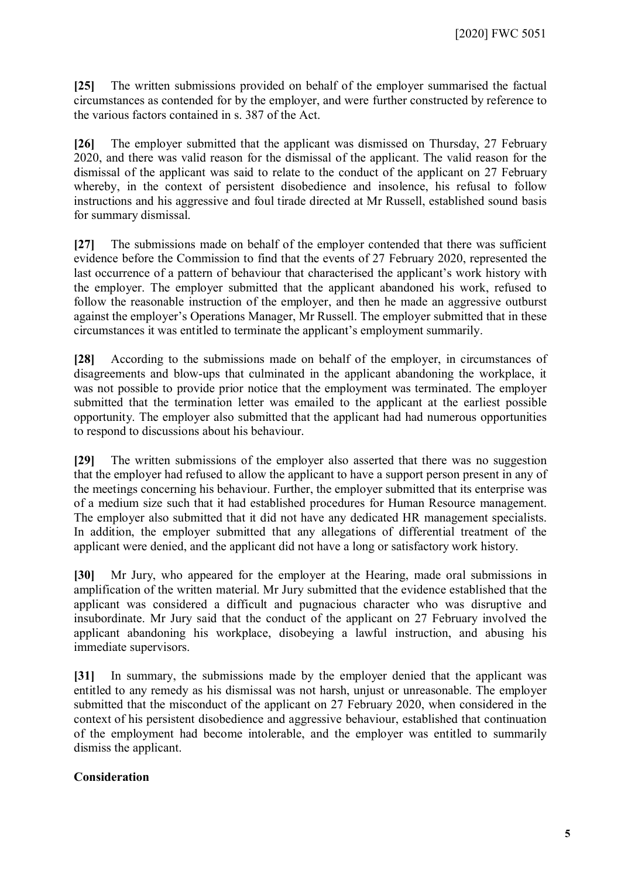**[25]** The written submissions provided on behalf of the employer summarised the factual circumstances as contended for by the employer, and were further constructed by reference to the various factors contained in s. 387 of the Act.

**[26]** The employer submitted that the applicant was dismissed on Thursday, 27 February 2020, and there was valid reason for the dismissal of the applicant. The valid reason for the dismissal of the applicant was said to relate to the conduct of the applicant on 27 February whereby, in the context of persistent disobedience and insolence, his refusal to follow instructions and his aggressive and foul tirade directed at Mr Russell, established sound basis for summary dismissal.

**[27]** The submissions made on behalf of the employer contended that there was sufficient evidence before the Commission to find that the events of 27 February 2020, represented the last occurrence of a pattern of behaviour that characterised the applicant's work history with the employer. The employer submitted that the applicant abandoned his work, refused to follow the reasonable instruction of the employer, and then he made an aggressive outburst against the employer's Operations Manager, Mr Russell. The employer submitted that in these circumstances it was entitled to terminate the applicant's employment summarily.

**[28]** According to the submissions made on behalf of the employer, in circumstances of disagreements and blow-ups that culminated in the applicant abandoning the workplace, it was not possible to provide prior notice that the employment was terminated. The employer submitted that the termination letter was emailed to the applicant at the earliest possible opportunity. The employer also submitted that the applicant had had numerous opportunities to respond to discussions about his behaviour.

**[29]** The written submissions of the employer also asserted that there was no suggestion that the employer had refused to allow the applicant to have a support person present in any of the meetings concerning his behaviour. Further, the employer submitted that its enterprise was of a medium size such that it had established procedures for Human Resource management. The employer also submitted that it did not have any dedicated HR management specialists. In addition, the employer submitted that any allegations of differential treatment of the applicant were denied, and the applicant did not have a long or satisfactory work history.

**[30]** Mr Jury, who appeared for the employer at the Hearing, made oral submissions in amplification of the written material. Mr Jury submitted that the evidence established that the applicant was considered a difficult and pugnacious character who was disruptive and insubordinate. Mr Jury said that the conduct of the applicant on 27 February involved the applicant abandoning his workplace, disobeying a lawful instruction, and abusing his immediate supervisors.

**[31]** In summary, the submissions made by the employer denied that the applicant was entitled to any remedy as his dismissal was not harsh, unjust or unreasonable. The employer submitted that the misconduct of the applicant on 27 February 2020, when considered in the context of his persistent disobedience and aggressive behaviour, established that continuation of the employment had become intolerable, and the employer was entitled to summarily dismiss the applicant.

#### **Consideration**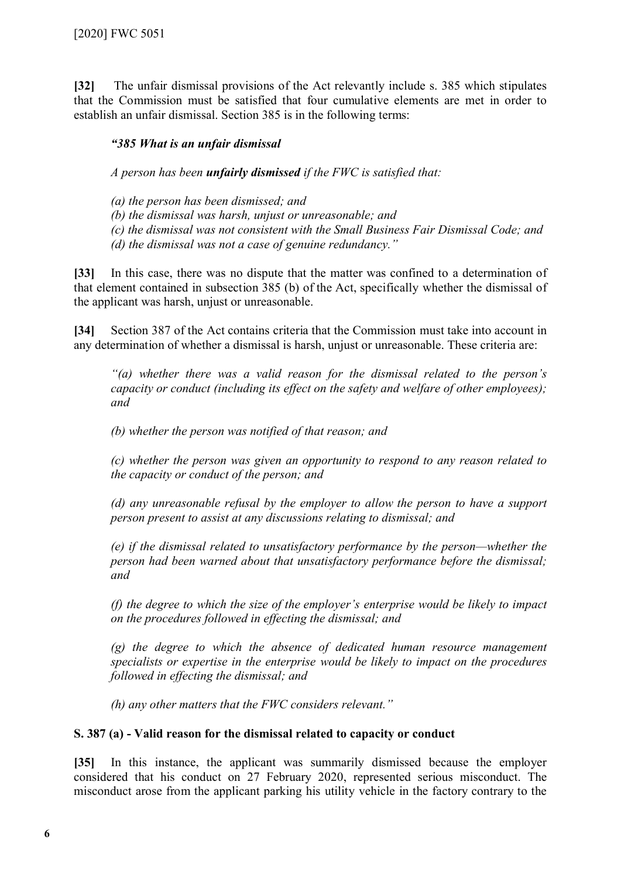**[32]** The unfair dismissal provisions of the Act relevantly include s. 385 which stipulates that the Commission must be satisfied that four cumulative elements are met in order to establish an unfair dismissal. Section 385 is in the following terms:

#### *"385 What is an unfair dismissal*

*A person has been unfairly dismissed if the FWC is satisfied that:*

*(a) the person has been dismissed; and*

*(b) the dismissal was harsh, unjust or unreasonable; and*

*(c) the dismissal was not consistent with the Small Business Fair Dismissal Code; and (d) the dismissal was not a case of genuine redundancy."*

**[33]** In this case, there was no dispute that the matter was confined to a determination of that element contained in subsection 385 (b) of the Act, specifically whether the dismissal of the applicant was harsh, unjust or unreasonable.

**[34]** Section 387 of the Act contains criteria that the Commission must take into account in any determination of whether a dismissal is harsh, unjust or unreasonable. These criteria are:

*"(a) whether there was a valid reason for the dismissal related to the person's capacity or conduct (including its effect on the safety and welfare of other employees); and*

*(b) whether the person was notified of that reason; and*

*(c) whether the person was given an opportunity to respond to any reason related to the capacity or conduct of the person; and*

*(d) any unreasonable refusal by the employer to allow the person to have a support person present to assist at any discussions relating to dismissal; and*

*(e) if the dismissal related to unsatisfactory performance by the person—whether the person had been warned about that unsatisfactory performance before the dismissal; and*

*(f) the degree to which the size of the employer's enterprise would be likely to impact on the procedures followed in effecting the dismissal; and*

*(g) the degree to which the absence of dedicated human resource management specialists or expertise in the enterprise would be likely to impact on the procedures followed in effecting the dismissal; and*

*(h) any other matters that the FWC considers relevant."*

#### **S. 387 (a) - Valid reason for the dismissal related to capacity or conduct**

**[35]** In this instance, the applicant was summarily dismissed because the employer considered that his conduct on 27 February 2020, represented serious misconduct. The misconduct arose from the applicant parking his utility vehicle in the factory contrary to the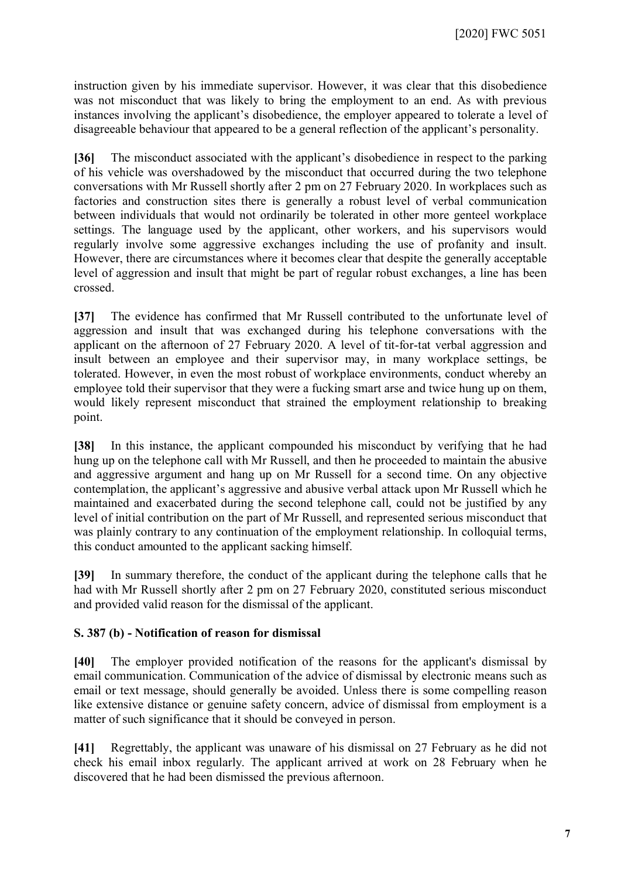instruction given by his immediate supervisor. However, it was clear that this disobedience was not misconduct that was likely to bring the employment to an end. As with previous instances involving the applicant's disobedience, the employer appeared to tolerate a level of disagreeable behaviour that appeared to be a general reflection of the applicant's personality.

**[36]** The misconduct associated with the applicant's disobedience in respect to the parking of his vehicle was overshadowed by the misconduct that occurred during the two telephone conversations with Mr Russell shortly after 2 pm on 27 February 2020. In workplaces such as factories and construction sites there is generally a robust level of verbal communication between individuals that would not ordinarily be tolerated in other more genteel workplace settings. The language used by the applicant, other workers, and his supervisors would regularly involve some aggressive exchanges including the use of profanity and insult. However, there are circumstances where it becomes clear that despite the generally acceptable level of aggression and insult that might be part of regular robust exchanges, a line has been crossed.

**[37]** The evidence has confirmed that Mr Russell contributed to the unfortunate level of aggression and insult that was exchanged during his telephone conversations with the applicant on the afternoon of 27 February 2020. A level of tit-for-tat verbal aggression and insult between an employee and their supervisor may, in many workplace settings, be tolerated. However, in even the most robust of workplace environments, conduct whereby an employee told their supervisor that they were a fucking smart arse and twice hung up on them, would likely represent misconduct that strained the employment relationship to breaking point.

**[38]** In this instance, the applicant compounded his misconduct by verifying that he had hung up on the telephone call with Mr Russell, and then he proceeded to maintain the abusive and aggressive argument and hang up on Mr Russell for a second time. On any objective contemplation, the applicant's aggressive and abusive verbal attack upon Mr Russell which he maintained and exacerbated during the second telephone call, could not be justified by any level of initial contribution on the part of Mr Russell, and represented serious misconduct that was plainly contrary to any continuation of the employment relationship. In colloquial terms, this conduct amounted to the applicant sacking himself.

**[39]** In summary therefore, the conduct of the applicant during the telephone calls that he had with Mr Russell shortly after 2 pm on 27 February 2020, constituted serious misconduct and provided valid reason for the dismissal of the applicant.

#### **S. 387 (b) - Notification of reason for dismissal**

**[40]** The employer provided notification of the reasons for the applicant's dismissal by email communication. Communication of the advice of dismissal by electronic means such as email or text message, should generally be avoided. Unless there is some compelling reason like extensive distance or genuine safety concern, advice of dismissal from employment is a matter of such significance that it should be conveyed in person.

**[41]** Regrettably, the applicant was unaware of his dismissal on 27 February as he did not check his email inbox regularly. The applicant arrived at work on 28 February when he discovered that he had been dismissed the previous afternoon.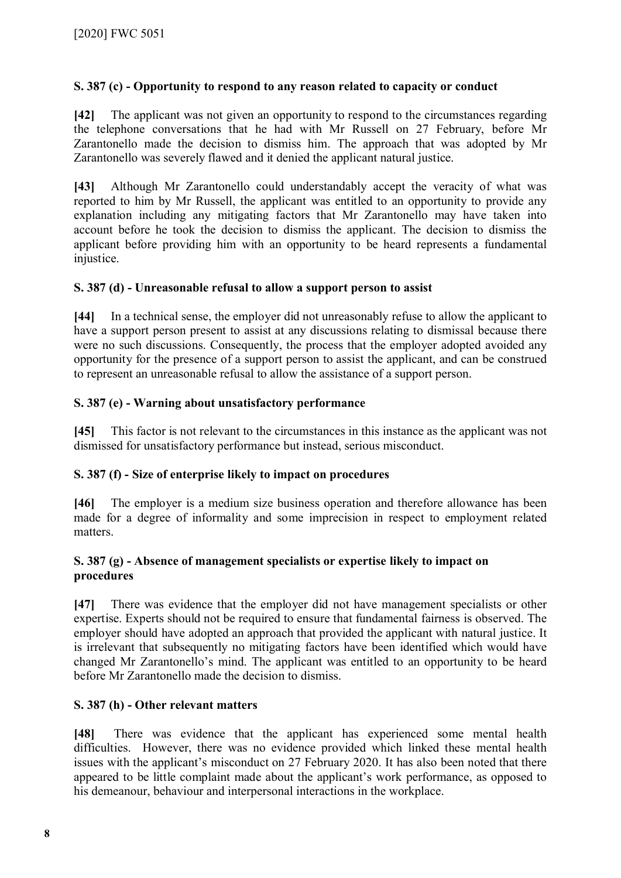#### **S. 387 (c) - Opportunity to respond to any reason related to capacity or conduct**

**[42]** The applicant was not given an opportunity to respond to the circumstances regarding the telephone conversations that he had with Mr Russell on 27 February, before Mr Zarantonello made the decision to dismiss him. The approach that was adopted by Mr Zarantonello was severely flawed and it denied the applicant natural justice.

**[43]** Although Mr Zarantonello could understandably accept the veracity of what was reported to him by Mr Russell, the applicant was entitled to an opportunity to provide any explanation including any mitigating factors that Mr Zarantonello may have taken into account before he took the decision to dismiss the applicant. The decision to dismiss the applicant before providing him with an opportunity to be heard represents a fundamental injustice.

#### **S. 387 (d) - Unreasonable refusal to allow a support person to assist**

**[44]** In a technical sense, the employer did not unreasonably refuse to allow the applicant to have a support person present to assist at any discussions relating to dismissal because there were no such discussions. Consequently, the process that the employer adopted avoided any opportunity for the presence of a support person to assist the applicant, and can be construed to represent an unreasonable refusal to allow the assistance of a support person.

#### **S. 387 (e) - Warning about unsatisfactory performance**

**[45]** This factor is not relevant to the circumstances in this instance as the applicant was not dismissed for unsatisfactory performance but instead, serious misconduct.

#### **S. 387 (f) - Size of enterprise likely to impact on procedures**

**[46]** The employer is a medium size business operation and therefore allowance has been made for a degree of informality and some imprecision in respect to employment related matters.

#### **S. 387 (g) - Absence of management specialists or expertise likely to impact on procedures**

**[47]** There was evidence that the employer did not have management specialists or other expertise. Experts should not be required to ensure that fundamental fairness is observed. The employer should have adopted an approach that provided the applicant with natural justice. It is irrelevant that subsequently no mitigating factors have been identified which would have changed Mr Zarantonello's mind. The applicant was entitled to an opportunity to be heard before Mr Zarantonello made the decision to dismiss.

#### **S. 387 (h) - Other relevant matters**

**[48]** There was evidence that the applicant has experienced some mental health difficulties. However, there was no evidence provided which linked these mental health issues with the applicant's misconduct on 27 February 2020. It has also been noted that there appeared to be little complaint made about the applicant's work performance, as opposed to his demeanour, behaviour and interpersonal interactions in the workplace.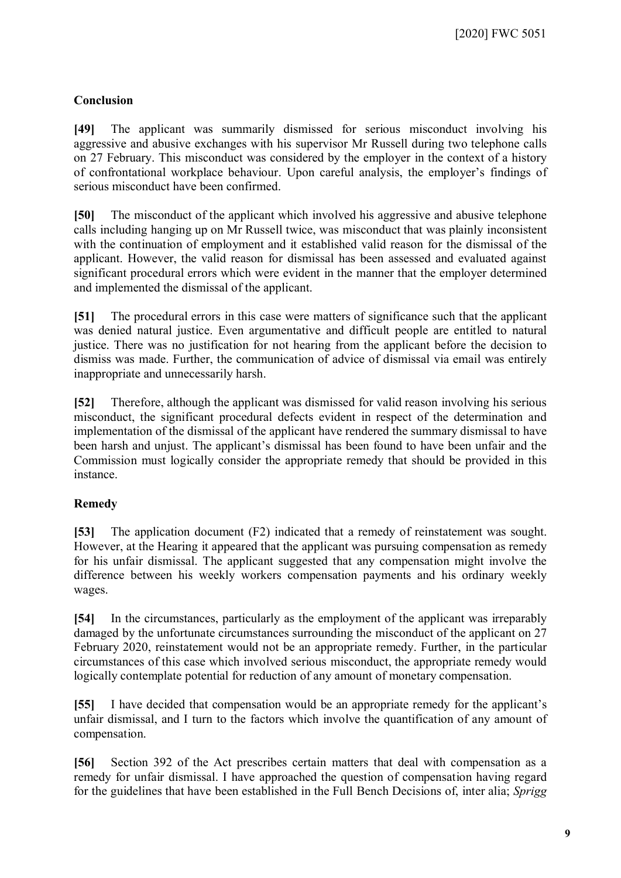# **Conclusion**

**[49]** The applicant was summarily dismissed for serious misconduct involving his aggressive and abusive exchanges with his supervisor Mr Russell during two telephone calls on 27 February. This misconduct was considered by the employer in the context of a history of confrontational workplace behaviour. Upon careful analysis, the employer's findings of serious misconduct have been confirmed.

**[50]** The misconduct of the applicant which involved his aggressive and abusive telephone calls including hanging up on Mr Russell twice, was misconduct that was plainly inconsistent with the continuation of employment and it established valid reason for the dismissal of the applicant. However, the valid reason for dismissal has been assessed and evaluated against significant procedural errors which were evident in the manner that the employer determined and implemented the dismissal of the applicant.

**[51]** The procedural errors in this case were matters of significance such that the applicant was denied natural justice. Even argumentative and difficult people are entitled to natural justice. There was no justification for not hearing from the applicant before the decision to dismiss was made. Further, the communication of advice of dismissal via email was entirely inappropriate and unnecessarily harsh.

**[52]** Therefore, although the applicant was dismissed for valid reason involving his serious misconduct, the significant procedural defects evident in respect of the determination and implementation of the dismissal of the applicant have rendered the summary dismissal to have been harsh and unjust. The applicant's dismissal has been found to have been unfair and the Commission must logically consider the appropriate remedy that should be provided in this instance.

# **Remedy**

**[53]** The application document (F2) indicated that a remedy of reinstatement was sought. However, at the Hearing it appeared that the applicant was pursuing compensation as remedy for his unfair dismissal. The applicant suggested that any compensation might involve the difference between his weekly workers compensation payments and his ordinary weekly wages.

**[54]** In the circumstances, particularly as the employment of the applicant was irreparably damaged by the unfortunate circumstances surrounding the misconduct of the applicant on 27 February 2020, reinstatement would not be an appropriate remedy. Further, in the particular circumstances of this case which involved serious misconduct, the appropriate remedy would logically contemplate potential for reduction of any amount of monetary compensation.

**[55]** I have decided that compensation would be an appropriate remedy for the applicant's unfair dismissal, and I turn to the factors which involve the quantification of any amount of compensation.

**[56]** Section 392 of the Act prescribes certain matters that deal with compensation as a remedy for unfair dismissal. I have approached the question of compensation having regard for the guidelines that have been established in the Full Bench Decisions of, inter alia; *Sprigg*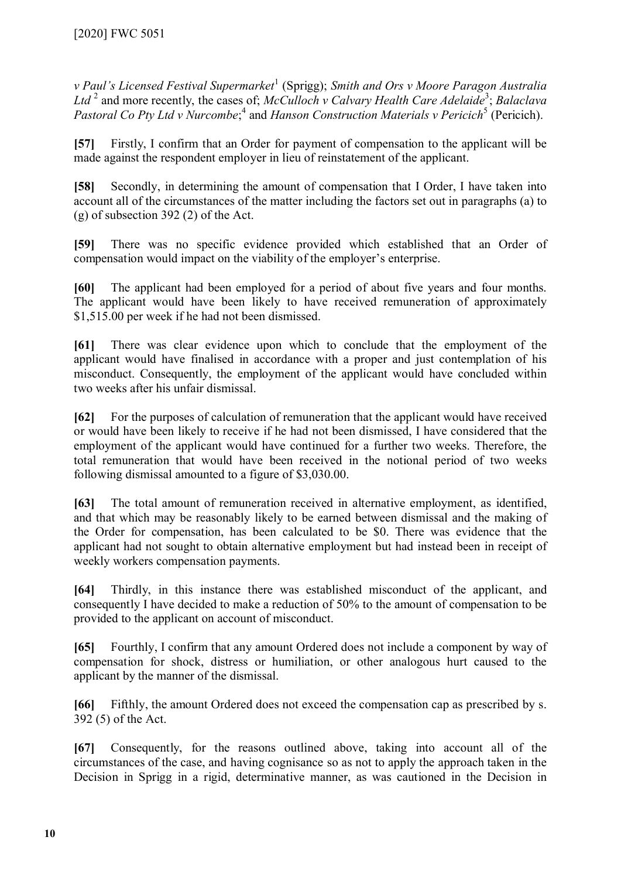*v Paul's Licensed Festival Supermarket*[1](#page-10-0) (Sprigg); *Smith and Ors v Moore Paragon Australia*  Ltd<sup>[2](#page-10-1)</sup> and more recently, the cases of; *McCulloch v Calvary Health Care Adelaide*<sup>[3](#page-10-2)</sup>; *Balaclava* Pastoral Co Pty Ltd v Nurcombe;<sup>[4](#page-10-3)</sup> and *Hanson Construction Materials v Pericich*<sup>[5](#page-10-4)</sup> (Pericich).

**[57]** Firstly, I confirm that an Order for payment of compensation to the applicant will be made against the respondent employer in lieu of reinstatement of the applicant.

**[58]** Secondly, in determining the amount of compensation that I Order, I have taken into account all of the circumstances of the matter including the factors set out in paragraphs (a) to (g) of subsection 392 (2) of the Act.

**[59]** There was no specific evidence provided which established that an Order of compensation would impact on the viability of the employer's enterprise.

**[60]** The applicant had been employed for a period of about five years and four months. The applicant would have been likely to have received remuneration of approximately \$1,515.00 per week if he had not been dismissed.

**[61]** There was clear evidence upon which to conclude that the employment of the applicant would have finalised in accordance with a proper and just contemplation of his misconduct. Consequently, the employment of the applicant would have concluded within two weeks after his unfair dismissal.

**[62]** For the purposes of calculation of remuneration that the applicant would have received or would have been likely to receive if he had not been dismissed, I have considered that the employment of the applicant would have continued for a further two weeks. Therefore, the total remuneration that would have been received in the notional period of two weeks following dismissal amounted to a figure of \$3,030.00.

**[63]** The total amount of remuneration received in alternative employment, as identified, and that which may be reasonably likely to be earned between dismissal and the making of the Order for compensation, has been calculated to be \$0. There was evidence that the applicant had not sought to obtain alternative employment but had instead been in receipt of weekly workers compensation payments.

**[64]** Thirdly, in this instance there was established misconduct of the applicant, and consequently I have decided to make a reduction of 50% to the amount of compensation to be provided to the applicant on account of misconduct.

**[65]** Fourthly, I confirm that any amount Ordered does not include a component by way of compensation for shock, distress or humiliation, or other analogous hurt caused to the applicant by the manner of the dismissal.

**[66]** Fifthly, the amount Ordered does not exceed the compensation cap as prescribed by s. 392 (5) of the Act.

**[67]** Consequently, for the reasons outlined above, taking into account all of the circumstances of the case, and having cognisance so as not to apply the approach taken in the Decision in Sprigg in a rigid, determinative manner, as was cautioned in the Decision in